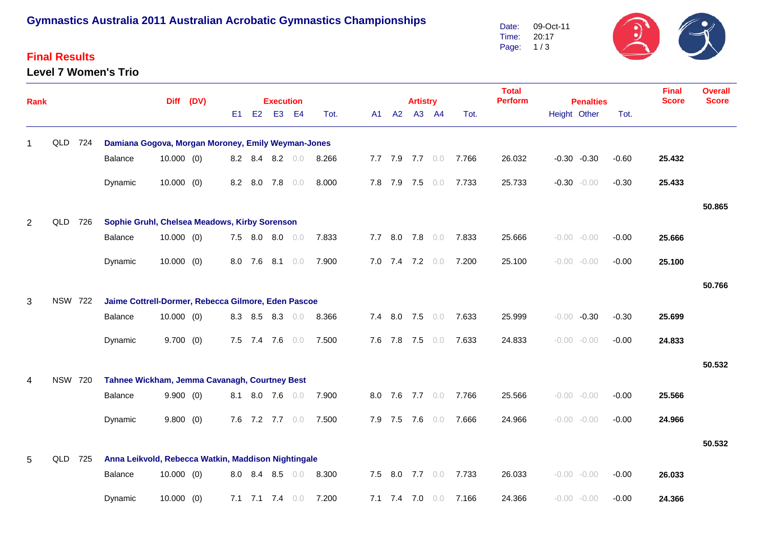## **Gymnastics Australia 2011 Australian Acrobatic Gymnastics Championships**

#### **Final Results**

**Level 7 Women's Trio**



| Rank           |                |     |                                                     |              | Diff (DV) |    |         | <b>Execution</b> |                   |                       |     | <b>Artistry</b>   |                 |       | <b>Total</b><br><b>Perform</b> | <b>Penalties</b> | <b>Final</b><br><b>Score</b> | <b>Overall</b><br><b>Score</b> |        |
|----------------|----------------|-----|-----------------------------------------------------|--------------|-----------|----|---------|------------------|-------------------|-----------------------|-----|-------------------|-----------------|-------|--------------------------------|------------------|------------------------------|--------------------------------|--------|
|                |                |     |                                                     |              |           | E1 | E2      |                  | E3 E4             | Tot.                  | A1  | A2 A3 A4          |                 | Tot.  |                                | Height Other     | Tot.                         |                                |        |
|                | QLD 724        |     | Damiana Gogova, Morgan Moroney, Emily Weyman-Jones  |              |           |    |         |                  |                   |                       |     |                   |                 |       |                                |                  |                              |                                |        |
|                |                |     | Balance                                             | 10.000(0)    |           |    |         |                  | 8.2 8.4 8.2 0.0   | 8.266                 |     |                   | 7.7 7.9 7.7 0.0 | 7.766 | 26.032                         | $-0.30 -0.30$    | $-0.60$                      | 25.432                         |        |
|                |                |     | Dynamic                                             | $10.000$ (0) |           |    |         |                  | 8.2 8.0 7.8 0.0   | 8.000                 |     |                   | 7.8 7.9 7.5 0.0 | 7.733 | 25.733                         | $-0.30 - 0.00$   | $-0.30$                      | 25.433                         |        |
|                |                |     |                                                     |              |           |    |         |                  |                   |                       |     |                   |                 |       |                                |                  |                              |                                | 50.865 |
| $\overline{2}$ | QLD            | 726 | Sophie Gruhl, Chelsea Meadows, Kirby Sorenson       |              |           |    |         |                  |                   |                       |     |                   |                 |       |                                |                  |                              |                                |        |
|                |                |     | Balance                                             | $10.000$ (0) |           |    |         |                  | 7.5 8.0 8.0 0.0   | 7.833                 |     |                   | 7.7 8.0 7.8 0.0 | 7.833 | 25.666                         | $-0.00 - 0.00$   | $-0.00$                      | 25.666                         |        |
|                |                |     | Dynamic                                             | $10.000$ (0) |           |    | 8.0 7.6 | 8.1              | 0.0               | 7.900                 |     |                   | 7.0 7.4 7.2 0.0 | 7.200 | 25.100                         | $-0.00 - 0.00$   | $-0.00$                      | 25.100                         |        |
|                |                |     |                                                     |              |           |    |         |                  |                   |                       |     |                   |                 |       |                                |                  |                              |                                | 50.766 |
| 3              | <b>NSW 722</b> |     | Jaime Cottrell-Dormer, Rebecca Gilmore, Eden Pascoe |              |           |    |         |                  |                   |                       |     |                   |                 |       |                                |                  |                              |                                |        |
|                |                |     | Balance                                             | 10.000(0)    |           |    |         |                  | 8.3 8.5 8.3 0.0   | 8.366                 |     |                   | 7.4 8.0 7.5 0.0 | 7.633 | 25.999                         | $-0.00 -0.30$    | $-0.30$                      | 25.699                         |        |
|                |                |     | Dynamic                                             | 9.700(0)     |           |    |         | 7.5 7.4 7.6      | 0.0               | 7.500                 |     | 7.6 7.8 7.5       | 0.0             | 7.633 | 24.833                         | $-0.00 - 0.00$   | $-0.00$                      | 24.833                         |        |
|                |                |     |                                                     |              |           |    |         |                  |                   |                       |     |                   |                 |       |                                |                  |                              |                                | 50.532 |
| 4              | <b>NSW 720</b> |     | Tahnee Wickham, Jemma Cavanagh, Courtney Best       |              |           |    |         |                  |                   |                       |     |                   |                 |       |                                |                  |                              |                                |        |
|                |                |     | Balance                                             | 9.900(0)     |           |    |         | 8.1 8.0 7.6 0.0  |                   | 7.900                 |     |                   | 8.0 7.6 7.7 0.0 | 7.766 | 25.566                         | $-0.00 - 0.00$   | $-0.00$                      | 25.566                         |        |
|                |                |     | Dynamic                                             | 9.800(0)     |           |    |         |                  |                   | 7.6 7.2 7.7 0.0 7.500 |     |                   | 7.9 7.5 7.6 0.0 | 7.666 | 24.966                         | $-0.00 - 0.00$   | $-0.00$                      | 24.966                         |        |
|                |                |     |                                                     |              |           |    |         |                  |                   |                       |     |                   |                 |       |                                |                  |                              |                                | 50.532 |
| 5              | QLD            | 725 | Anna Leikvold, Rebecca Watkin, Maddison Nightingale |              |           |    |         |                  |                   |                       |     |                   |                 |       |                                |                  |                              |                                |        |
|                |                |     | Balance                                             | $10.000$ (0) |           |    |         |                  | 8.0 8.4 8.5 0.0   | 8.300                 | 7.5 | 8.0 7.7           | 0.0             | 7.733 | 26.033                         | $-0.00 - 0.00$   | $-0.00$                      | 26.033                         |        |
|                |                |     | Dynamic                                             | $10.000$ (0) |           |    |         |                  | 7.1 7.1 7.4 $0.0$ | 7.200                 |     | $7.1$ $7.4$ $7.0$ | 0.0             | 7.166 | 24.366                         | $-0.00 - 0.00$   | $-0.00$                      | 24.366                         |        |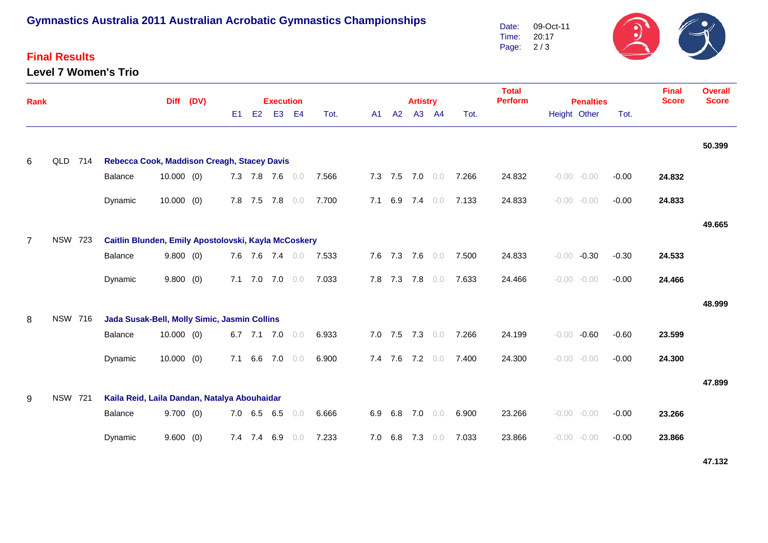# **Gymnastics Australia 2011 Australian Acrobatic Gymnastics Championships**

#### **Final Results**

**Level 7 Women's Trio**



| Rank           |                |                                                        | (DV)         |  |                | <b>Execution</b> |                 |                |       |    | <b>Artistry</b> |                 |       | <b>Total</b><br><b>Perform</b> | <b>Penalties</b> |                    | <b>Final</b><br><b>Score</b> | <b>Overall</b><br><b>Score</b> |        |
|----------------|----------------|--------------------------------------------------------|--------------|--|----------------|------------------|-----------------|----------------|-------|----|-----------------|-----------------|-------|--------------------------------|------------------|--------------------|------------------------------|--------------------------------|--------|
|                |                |                                                        |              |  | E <sub>1</sub> | E2               | E <sub>3</sub>  | E <sub>4</sub> | Tot.  | A1 | A2              |                 | A3 A4 | Tot.                           |                  | Height Other       | Tot.                         |                                |        |
|                |                |                                                        |              |  |                |                  |                 |                |       |    |                 |                 |       |                                |                  |                    |                              |                                | 50.399 |
| 6              | QLD 714        | Rebecca Cook, Maddison Creagh, Stacey Davis<br>Balance | $10.000$ (0) |  |                |                  | 7.3 7.8 7.6 0.0 |                | 7.566 |    |                 | 7.3 7.5 7.0 0.0 |       | 7.266                          | 24.832           | $-0.00 - 0.00$     | $-0.00$                      | 24.832                         |        |
|                |                |                                                        |              |  |                |                  |                 |                |       |    |                 |                 |       |                                |                  |                    |                              |                                |        |
|                |                | Dynamic                                                | $10.000$ (0) |  |                |                  | 7.8 7.5 7.8     | 0.0            | 7.700 |    | 7.1 6.9         | $7.4\quad 0.0$  |       | 7.133                          | 24.833           | $-0.00 - 0.00$     | $-0.00$                      | 24.833                         |        |
|                |                |                                                        |              |  |                |                  |                 |                |       |    |                 |                 |       |                                |                  |                    |                              |                                | 49.665 |
| $\overline{7}$ | <b>NSW 723</b> | Caitlin Blunden, Emily Apostolovski, Kayla McCoskery   |              |  |                |                  |                 |                |       |    |                 |                 |       |                                |                  |                    |                              |                                |        |
|                |                | Balance                                                | 9.800(0)     |  |                |                  | 7.6 7.6 7.4 0.0 |                | 7.533 |    |                 | 7.6 7.3 7.6 0.0 |       | 7.500                          | 24.833           | $-0.30$<br>$-0.00$ | $-0.30$                      | 24.533                         |        |
|                |                | Dynamic                                                | 9.800(0)     |  |                |                  | 7.1 7.0 7.0     | 0.0            | 7.033 |    | 7.8 7.3         | 7.8 0.0         |       | 7.633                          | 24.466           | $-0.00 - 0.00$     | $-0.00$                      | 24.466                         |        |
|                |                |                                                        |              |  |                |                  |                 |                |       |    |                 |                 |       |                                |                  |                    |                              |                                | 48.999 |
| 8              | <b>NSW 716</b> | Jada Susak-Bell, Molly Simic, Jasmin Collins           |              |  |                |                  |                 |                |       |    |                 |                 |       |                                |                  |                    |                              |                                |        |
|                |                | Balance                                                | $10.000$ (0) |  |                |                  | 6.7 7.1 7.0     | 0.0            | 6.933 |    |                 | 7.0 7.5 7.3 0.0 |       | 7.266                          | 24.199           | $-0.60$<br>$-0.00$ | $-0.60$                      | 23.599                         |        |
|                |                | Dynamic                                                | $10.000$ (0) |  | 7.1            |                  | 6.6 7.0         | 0.0            | 6.900 |    | 7.4 7.6         | 7.2 0.0         |       | 7.400                          | 24.300           | $-0.00 - 0.00$     | $-0.00$                      | 24.300                         |        |
|                |                |                                                        |              |  |                |                  |                 |                |       |    |                 |                 |       |                                |                  |                    |                              |                                | 47.899 |
| 9              | <b>NSW 721</b> | Kaila Reid, Laila Dandan, Natalya Abouhaidar           |              |  |                |                  |                 |                |       |    |                 |                 |       |                                |                  |                    |                              |                                |        |
|                |                | Balance                                                | 9.700(0)     |  |                |                  | 7.0 6.5 6.5     | 0.0            | 6.666 |    |                 | 6.9 6.8 7.0 0.0 |       | 6.900                          | 23.266           | $-0.00 - 0.00$     | $-0.00$                      | 23.266                         |        |
|                |                | Dynamic                                                | 9.600(0)     |  |                |                  | 7.4 7.4 6.9     | 0.0            | 7.233 |    |                 | 7.0 6.8 7.3 0.0 |       | 7.033                          | 23.866           | $-0.00 - 0.00$     | $-0.00$                      | 23.866                         |        |

**47.132**